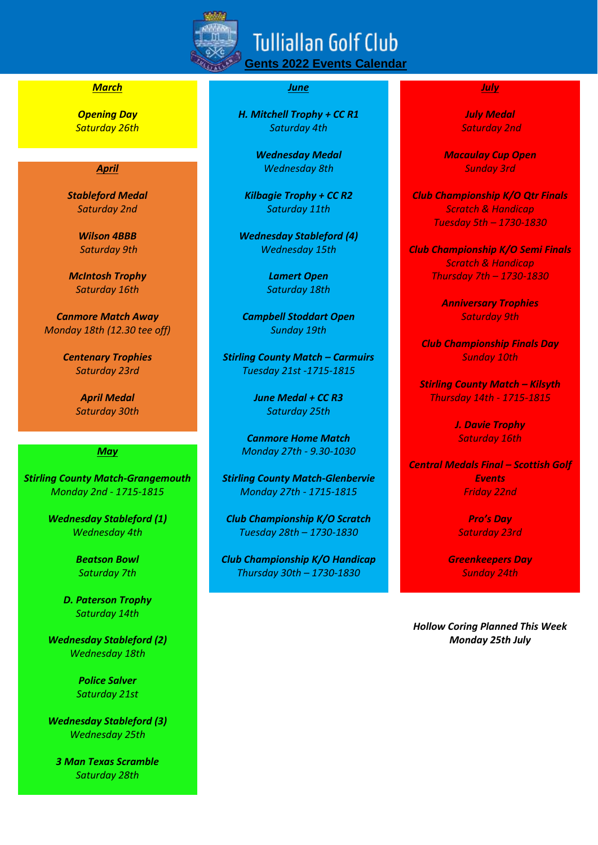

# *March June July*

*Saturday 16th Saturday 18th*

*Canmore Match Away Campbell Stoddart Open Saturday 9th Monday 18th (12.30 tee off) Sunday 19th*

*Stirling County Match-Grangemouth Stirling County Match-Glenbervie Events*

*D. Paterson Trophy Saturday 14th*

*Wednesday 18th*

*Police Salver Saturday 21st*

*Wednesday Stableford (3) Wednesday 25th*

*3 Man Texas Scramble Saturday 28th*

*Opening Day H. Mitchell Trophy + CC R1 July Medal Saturday 26th Saturday 4th Saturday 2nd*

*April Wednesday 8th Sunday 3rd*

*Wilson 4BBB Wednesday Stableford (4)*

*Centenary Trophies Stirling County Match – Carmuirs Sunday 10th Saturday 23rd Tuesday 21st -1715-1815*

*Saturday 30th Saturday 25th*

**Canmore Home Match Saturday 16th** *May Monday 27th - 9.30-1030*

*Monday 2nd - 1715-1815 Monday 27th - 1715-1815 Friday 22nd*

*Wednesday Stableford (1) Club Championship K/O Scratch* **Profile** *Pro's Day Wednesday 4th Tuesday 28th – 1730-1830 Saturday 23rd*

*Beatson Bowl Club Championship K/O Handicap Greenkeepers Day Saturday 7th Thursday 30th – 1730-1830 Sunday 24th*

*Wednesday Medal Macaulay Cup Open* 

*Stableford Medal Kilbagie Trophy + CC R2 Club Championship K/O Qtr Finals Saturday 2nd Saturday 11th Scratch & Handicap Tuesday 5th – 1730-1830*

*Saturday 9th Wednesday 15th Club Championship K/O Semi Finals Scratch & Handicap McIntosh Trophy Lamert Open Thursday 7th – 1730-1830*

*Anniversary Trophies*

*Club Championship Finals Day*

*Stirling County Match – Kilsyth April Medal June Medal + CC R3 Thursday 14th - 1715-1815*

*J. Davie Trophy*

*Central Medals Final – Scottish Golf* 

*Hollow Coring Planned This Week Wednesday Stableford (2) Monday 25th July*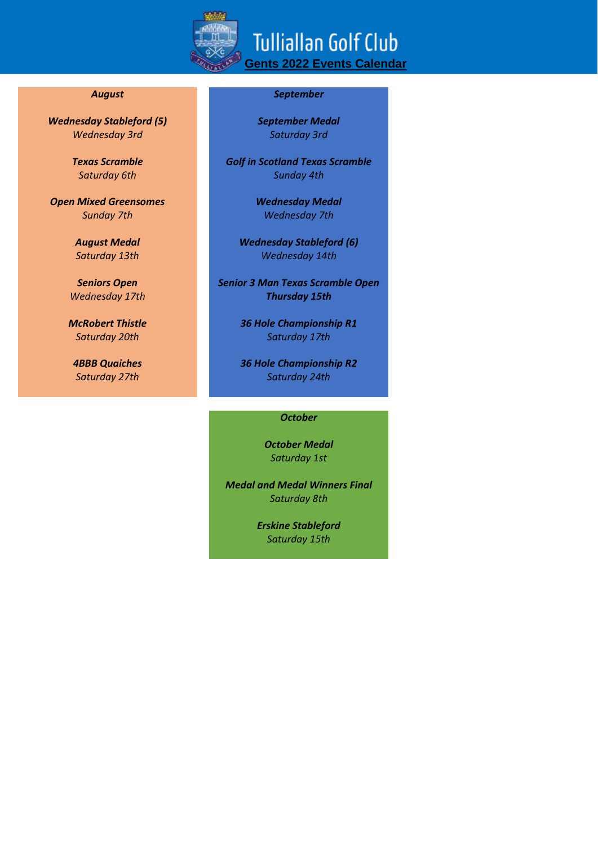

*Wednesday Stableford (5) September Medal Wednesday 3rd Saturday 3rd*

*Open Mixed Greensomes Wednesday Medal Sunday 7th Wednesday 7th*

## *August September*

*Texas Scramble Golf in Scotland Texas Scramble Saturday 6th Sunday 4th*

*August Medal Wednesday Stableford (6) Saturday 13th Wednesday 14th*

*Seniors Open Senior 3 Man Texas Scramble Open Wednesday 17th Thursday 15th*

*McRobert Thistle 36 Hole Championship R1 Saturday 20th Saturday 17th*

*4BBB Quaiches 36 Hole Championship R2 Saturday 27th Saturday 24th*

### *October*

*October Medal Saturday 1st*

*Medal and Medal Winners Final Saturday 8th*

> *Erskine Stableford Saturday 15th*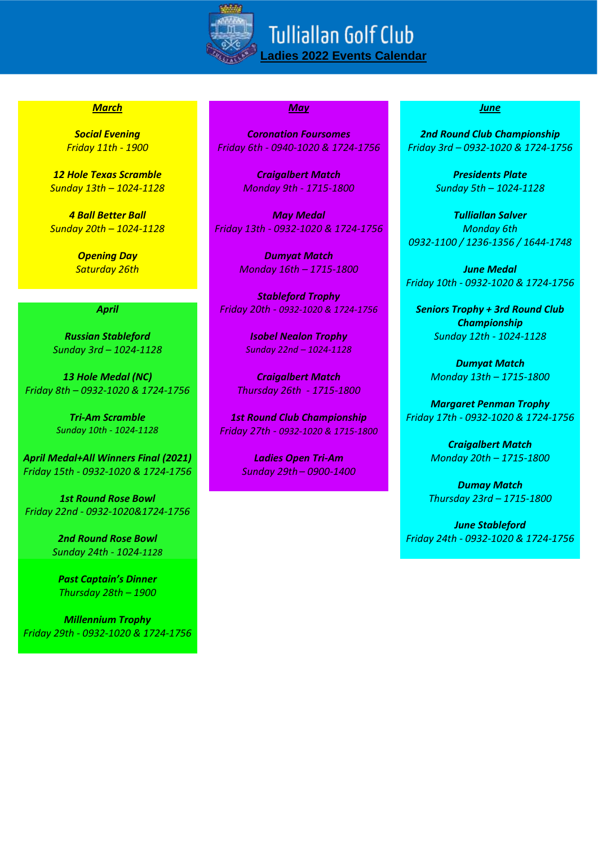

# *March May June*

*12 Hole Texas Scramble Craigalbert Match Presidents Plate Sunday 13th – 1024-1128 Monday 9th - 1715-1800 Sunday 5th – 1024-1128*

*Sunday 3rd – 1024-1128 Sunday 22nd – 1024-1128*

*13 Hole Medal (NC) Craigalbert Match Monday 13th – 1715-1800 Friday 8th – 0932-1020 & 1724-1756 Thursday 26th - 1715-1800*

*April Medal+All Winners Final (2021) Ladies Open Tri-Am Monday 20th – 1715-1800 Friday 15th - 0932-1020 & 1724-1756 Sunday 29th – 0900-1400*

*1st Round Rose Bowl Thursday 23rd – 1715-1800 Friday 22nd - 0932-1020&1724-1756*

*Sunday 24th - 1024-1128*

*Past Captain's Dinner Thursday 28th – 1900*

*Millennium Trophy Friday 29th - 0932-1020 & 1724-1756*

*Social Evening Coronation Foursomes 2nd Round Club Championship Friday 11th - 1900 Friday 6th - 0940-1020 & 1724-1756 Friday 3rd – 0932-1020 & 1724-1756*

*4 Ball Better Ball May Medal Tulliallan Salver Sunday 20th – 1024-1128 Friday 13th - 0932-1020 & 1724-1756 Monday 6th*

*Opening Day Dumyat Match Saturday 26th Monday 16th – 1715-1800 June Medal*

*Stableford Trophy April Friday 20th - 0932-1020 & 1724-1756 Seniors Trophy + 3rd Round Club*

*Sunday 10th - 1024-1128 Friday 27th - 0932-1020 & 1715-1800*

*0932-1100 / 1236-1356 / 1644-1748*

*Friday 10th - 0932-1020 & 1724-1756*

*Championship Russian Stableford Isobel Nealon Trophy Sunday 12th - 1024-1128*

*Dumyat Match*

*Margaret Penman Trophy Tri-Am Scramble 1st Round Club Championship Friday 17th - 0932-1020 & 1724-1756*

*Craigalbert Match*

*Dumay Match*

*June Stableford 2nd Round Rose Bowl Friday 24th - 0932-1020 & 1724-1756*